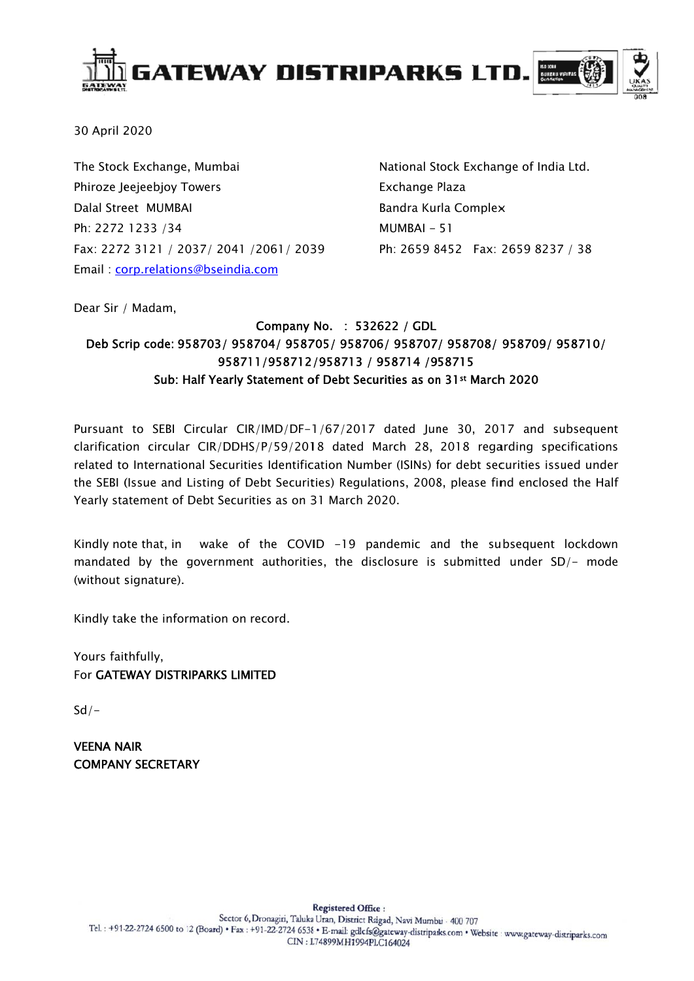

30 April 2020

The Stock Exchange, Mumbai Phiroze Jeejeebjoy Towers Dalal Street MUMBAI Ph: 2272 1233 /34 Fax: 2272 3121 / 2037/ 2041 /2061 / 2039 Email: corp.relations@bseindia.com

National Stock Exchange of India Ltd. Exchange Plaza Bandra Kurla Complex  $MUMBAI - 51$ Ph: 2659 8452 Fax: 2659 8237 / 38

Dear Sir / Madam.

## Company No. : 532622 / GDL Deb Scrip code: 958703/958704/958705/958706/958707/958708/958709/958710/ 958711/958712/958713 / 958714 /958715 Sub: Half Yearly Statement of Debt Securities as on 31st March 2020

Pursuant to SEBI Circular CIR/IMD/DF-1/67/2017 dated June 30, 2017 and subsequent clarification circular CIR/DDHS/P/59/2018 dated March 28, 2018 regarding specifications related to International Securities Identification Number (ISINs) for debt securities issued under the SEBI (Issue and Listing of Debt Securities) Regulations, 2008, please find enclosed the Half Yearly statement of Debt Securities as on 31 March 2020.

Kindly note that, in wake of the COVID -19 pandemic and the subsequent lockdown mandated by the government authorities, the disclosure is submitted under SD/- mode (without signature).

Kindly take the information on record.

Yours faithfully, For GATEWAY DISTRIPARKS LIMITED

 $Sd/-$ 

**VEENA NAIR COMPANY SECRETARY**